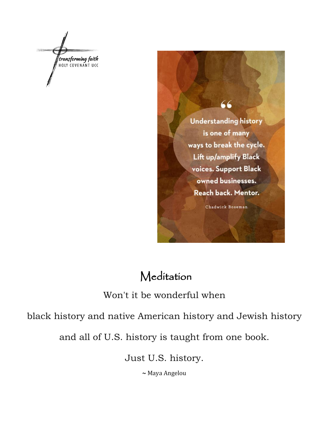transforming faith<br>HOLY COVENANT UCC



# Meditation

# Won't it be wonderful when

# black history and native American history and Jewish history

and all of U.S. history is taught from one book.

Just U.S. history.

**~** Maya Angelou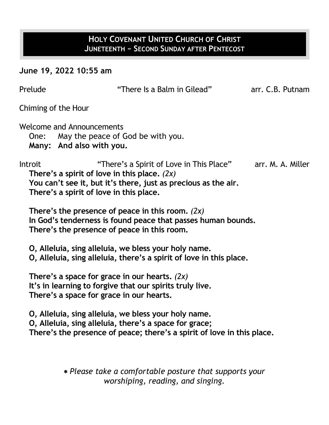# **HOLY COVENANT UNITED CHURCH OF CHRIST JUNETEENTH ~ SECOND SUNDAY AFTER PENTECOST**

**June 19, 2022 10:55 am**

| Prelude                                                                                                                                                                                                                                        | "There Is a Balm in Gilead"            | arr. C.B. Putnam |
|------------------------------------------------------------------------------------------------------------------------------------------------------------------------------------------------------------------------------------------------|----------------------------------------|------------------|
| Chiming of the Hour                                                                                                                                                                                                                            |                                        |                  |
| <b>Welcome and Announcements</b><br>Many: And also with you.                                                                                                                                                                                   | One: May the peace of God be with you. |                  |
| <b>Introit</b><br>"There's a Spirit of Love in This Place"<br>arr. M. A. Miller<br>There's a spirit of love in this place. $(2x)$<br>You can't see it, but it's there, just as precious as the air.<br>There's a spirit of love in this place. |                                        |                  |
| There's the presence of peace in this room. $(2x)$<br>In God's tenderness is found peace that passes human bounds.<br>There's the presence of peace in this room.                                                                              |                                        |                  |
| O, Alleluia, sing alleluia, we bless your holy name.<br>O, Alleluia, sing alleluia, there's a spirit of love in this place.                                                                                                                    |                                        |                  |
| There's a space for grace in our hearts. $(2x)$<br>It's in learning to forgive that our spirits truly live.<br>There's a space for grace in our hearts.                                                                                        |                                        |                  |
| O, Alleluia, sing alleluia, we bless your holy name.<br>O, Alleluia, sing alleluia, there's a space for grace;<br>There's the presence of peace; there's a spirit of love in this place.                                                       |                                        |                  |

 *Please take a comfortable posture that supports your worshiping, reading, and singing.*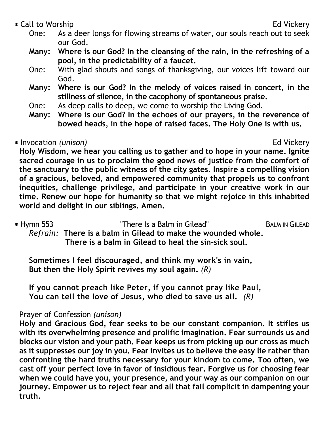#### Call to Worship Ed Vickery

- One: As a deer longs for flowing streams of water, our souls reach out to seek our God.
- **Many: Where is our God? In the cleansing of the rain, in the refreshing of a pool, in the predictability of a faucet.**
- One: With glad shouts and songs of thanksgiving, our voices lift toward our God.
- **Many: Where is our God? In the melody of voices raised in concert, in the stillness of silence, in the cacophony of spontaneous praise.**
- One: As deep calls to deep, we come to worship the Living God.
- **Many: Where is our God? In the echoes of our prayers, in the reverence of bowed heads, in the hope of raised faces. The Holy One is with us.**

### Invocation *(unison)* Ed Vickery

**Holy Wisdom, we hear you calling us to gather and to hope in your name. Ignite sacred courage in us to proclaim the good news of justice from the comfort of the sanctuary to the public witness of the city gates. Inspire a compelling vision of a gracious, beloved, and empowered community that propels us to confront inequities, challenge privilege, and participate in your creative work in our time. Renew our hope for humanity so that we might rejoice in this inhabited world and delight in our siblings. Amen.**

\* Hymn 553 There Is a Balm in Gilead" BALM IN GILEAD *Refrain:* **There is a balm in Gilead to make the wounded whole. There is a balm in Gilead to heal the sin-sick soul.**

**Sometimes I feel discouraged, and think my work's in vain, But then the Holy Spirit revives my soul again.** *(R)*

**If you cannot preach like Peter, if you cannot pray like Paul, You can tell the love of Jesus, who died to save us all.** *(R)*

### Prayer of Confession *(unison)*

**Holy and Gracious God, fear seeks to be our constant companion. It stifles us with its overwhelming presence and prolific imagination. Fear surrounds us and blocks our vision and your path. Fear keeps us from picking up our cross as much as it suppresses our joy in you. Fear invites us to believe the easy lie rather than confronting the hard truths necessary for your kindom to come. Too often, we cast off your perfect love in favor of insidious fear. Forgive us for choosing fear when we could have you, your presence, and your way as our companion on our journey. Empower us to reject fear and all that fall complicit in dampening your truth.**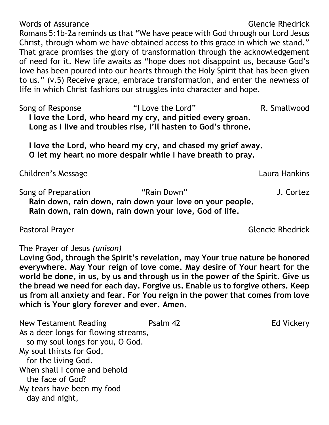Words of Assurance **Glencie Rhedrick** Romans 5:1b–2a reminds us that "We have peace with God through our Lord Jesus Christ, through whom we have obtained access to this grace in which we stand." That grace promises the glory of transformation through the acknowledgement of need for it. New life awaits as "hope does not disappoint us, because God's love has been poured into our hearts through the Holy Spirit that has been given to us." (v.5) Receive grace, embrace transformation, and enter the newness of life in which Christ fashions our struggles into character and hope.

Song of Response **The Conglet of Song of Response**  $\blacksquare$  **Conglet in the Lord"** R. Smallwood **I love the Lord, who heard my cry, and pitied every groan. Long as I live and troubles rise, I'll hasten to God's throne.** 

**I love the Lord, who heard my cry, and chased my grief away. O let my heart no more despair while I have breath to pray.** 

**Children's Message Children's Message Children's Message Children's Message Children's Message Children's American Children's Message Children's American Children's Message Children's American Children's American Children** 

Song of Preparation **The "Rain Down"** Song of Preparation **The Song of Preparation Rain down, rain down, rain down your love on your people. Rain down, rain down, rain down your love, God of life.**

The Prayer of Jesus *(unison)*

**Loving God, through the Spirit's revelation, may Your true nature be honored everywhere. May Your reign of love come. May desire of Your heart for the world be done, in us, by us and through us in the power of the Spirit. Give us the bread we need for each day. Forgive us. Enable us to forgive others. Keep us from all anxiety and fear. For You reign in the power that comes from love which is Your glory forever and ever. Amen.**

New Testament Reading **Psalm 42** Ed Vickery As a deer longs for flowing streams, so my soul longs for you, O God. My soul thirsts for God, for the living God. When shall I come and behold the face of God? My tears have been my food day and night,

Pastoral Prayer Glencie Rhedrick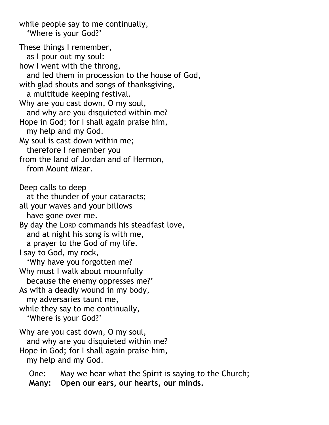while people say to me continually, 'Where is your God?' These things I remember, as I pour out my soul: how I went with the throng, and led them in procession to the house of God, with glad shouts and songs of thanksgiving, a multitude keeping festival. Why are you cast down, O my soul, and why are you disquieted within me? Hope in God; for I shall again praise him, my help and my God. My soul is cast down within me; therefore I remember you from the land of Jordan and of Hermon, from Mount Mizar. Deep calls to deep at the thunder of your cataracts; all your waves and your billows have gone over me. By day the LORD commands his steadfast love, and at night his song is with me, a prayer to the God of my life. I say to God, my rock, 'Why have you forgotten me? Why must I walk about mournfully because the enemy oppresses me?' As with a deadly wound in my body, my adversaries taunt me, while they say to me continually, 'Where is your God?' Why are you cast down, O my soul, and why are you disquieted within me? Hope in God; for I shall again praise him,

my help and my God.

One: May we hear what the Spirit is saying to the Church; **Many: Open our ears, our hearts, our minds.**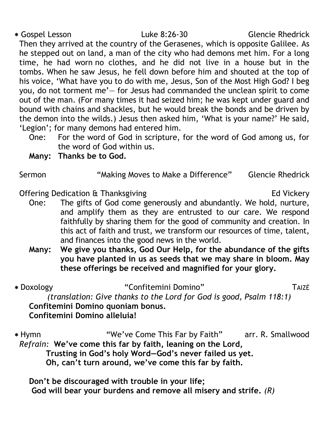Then they arrived at the country of the Gerasenes, which is opposite Galilee. As he stepped out on land, a man of the city who had demons met him. For a long time, he had worn no clothes, and he did not live in a house but in the tombs. When he saw Jesus, he fell down before him and shouted at the top of his voice, 'What have you to do with me, Jesus, Son of the Most High God? I beg you, do not torment me'— for Jesus had commanded the unclean spirit to come out of the man. (For many times it had seized him; he was kept under guard and bound with chains and shackles, but he would break the bonds and be driven by the demon into the wilds.) Jesus then asked him, 'What is your name?' He said, 'Legion'; for many demons had entered him.

One: For the word of God in scripture, for the word of God among us, for the word of God within us.

**Many: Thanks be to God.**

# Sermon **"Waking Moves to Make a Difference"** Glencie Rhedrick

### Offering Dedication & Thanksgiving **Ed Vickery** Ed Vickery

- One: The gifts of God come generously and abundantly. We hold, nurture, and amplify them as they are entrusted to our care. We respond faithfully by sharing them for the good of community and creation. In this act of faith and trust, we transform our resources of time, talent, and finances into the good news in the world.
- **Many: We give you thanks, God Our Help, for the abundance of the gifts you have planted in us as seeds that we may share in bloom. May these offerings be received and magnified for your glory.**
- Doxology "Confitemini Domino" TAIZÉ *(translation: Give thanks to the Lord for God is good, Psalm 118:1)* **Confitemini Domino quoniam bonus. Confitemini Domino alleluia!**
- Hymn "We've Come This Far by Faith" arr. R. Smallwood *Refrain:* **We've come this far by faith, leaning on the Lord, Trusting in God's holy Word—God's never failed us yet. Oh, can't turn around, we've come this far by faith.**

**Don't be discouraged with trouble in your life; God will bear your burdens and remove all misery and strife.** *(R)*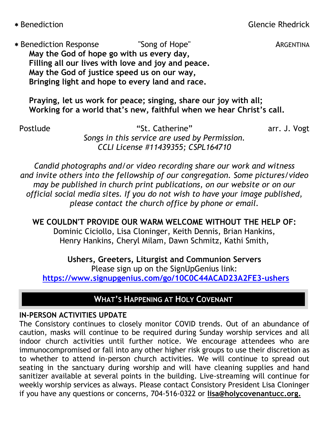Benediction Response "Song of Hope" ARGENTINA **May the God of hope go with us every day, Filling all our lives with love and joy and peace. May the God of justice speed us on our way, Bringing light and hope to every land and race.**

**Praying, let us work for peace; singing, share our joy with all; Working for a world that's new, faithful when we hear Christ's call.**

Postlude The "St. Catherine" arr. J. Vogt *Songs in this service are used by Permission. CCLI License #11439355; CSPL164710*

*Candid photographs and/or video recording share our work and witness and invite others into the fellowship of our congregation. Some pictures/video may be published in church print publications, on our website or on our official social media sites. If you do not wish to have your image published, please contact the church office by phone or email.*

**WE COULDN'T PROVIDE OUR WARM WELCOME WITHOUT THE HELP OF:** Dominic Ciciollo, Lisa Cloninger, Keith Dennis, Brian Hankins, Henry Hankins, Cheryl Milam, Dawn Schmitz, Kathi Smith,

**Ushers, Greeters, Liturgist and Communion Servers** Please sign up on the SignUpGenius link: **[https://www.signupgenius.com/go/10C0C44ACAD23A2FE3-ushers](https://r20.rs6.net/tn.jsp?f=001KRg6On04gjlLyktGwjKgNKfzFLQ-Um6NbG2lztA_f-oB_Ohy2KXgrjCGYNP3zoGPwpUwpW76E7C-XeXYNmP-iiO2w4RMtkV4kPs0EdjYN7MK_aj8ZdeYc6Qpavy_ybMuo20ccKgKP8hBZl8fMv58G29YP667-9hGWFrtDltIDuL5bWbp_4-ML49asN5whiAO&c=Zu3HjXli5oG1mucDNs2-QyIoLpesAu_QuUZCfVVIzn6o7dxJM2iC5Q==&ch=Q_K8Ck0f2UgLK2qW-C4om2neX2s4XTjxjYpHobQBA3QOU03sR-8ZJg==)**

# **WHAT'S HAPPENING AT HOLY COVENANT**

# **IN-PERSON ACTIVITIES UPDATE**

The Consistory continues to closely monitor COVID trends. Out of an abundance of caution, masks will continue to be required during Sunday worship services and all indoor church activities until further notice. We encourage attendees who are immunocompromised or fall into any other higher risk groups to use their discretion as to whether to attend in-person church activities. We will continue to spread out seating in the sanctuary during worship and will have cleaning supplies and hand sanitizer available at several points in the building. Live-streaming will continue for weekly worship services as always. Please contact Consistory President Lisa Cloninger if you have any questions or concerns, 704-516-0322 or **[lisa@holycovenantucc.org.](mailto:lisa@holycovenantucc.org)**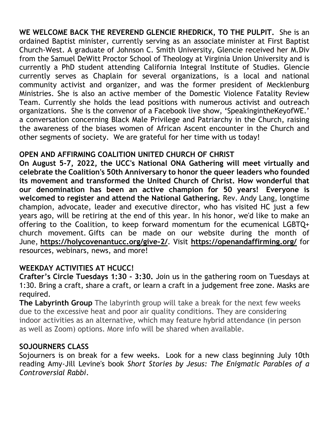**WE WELCOME BACK THE REVEREND GLENCIE RHEDRICK, TO THE PULPIT.** She is an ordained Baptist minister, currently serving as an associate minister at First Baptist Church-West. A graduate of Johnson C. Smith University, Glencie received her M.Div from the Samuel DeWitt Proctor School of Theology at Virginia Union University and is currently a PhD student attending California Integral Institute of Studies. Glencie currently serves as Chaplain for several organizations, is a local and national community activist and organizer, and was the former president of Mecklenburg Ministries. She is also an active member of the Domestic Violence Fatality Review Team. Currently she holds the lead positions with numerous activist and outreach organizations. She is the convenor of a Facebook live show, 'SpeakingintheKeyofWE.' a conversation concerning Black Male Privilege and Patriarchy in the Church, raising the awareness of the biases women of African Ascent encounter in the Church and other segments of society. We are grateful for her time with us today!

#### **OPEN AND AFFIRMING COALITION UNITED CHURCH OF CHRIST**

**On August 5-7, 2022, the UCC's National ONA Gathering will meet virtually and celebrate the Coalition's 50th Anniversary to honor the queer leaders who founded its movement and transformed the United Church of Christ. How wonderful that our denomination has been an active champion for 50 years! Everyone is welcomed to register and attend the National Gathering.** Rev. Andy Lang, longtime champion, advocate, leader and executive director, who has visited HC just a few years ago, will be retiring at the end of this year. In his honor, we'd like to make an offering to the Coalition, to keep forward momentum for the ecumenical LGBTQ+ church movement. Gifts can be made on our website during the month of June, **<https://holycovenantucc.org/give-2/>**. Visit **<https://openandaffirming.org/>** for resources, webinars, news, and more!

#### **WEEKDAY ACTIVITIES AT HCUCC!**

**Crafter's Circle Tuesdays 1:30 - 3:30.** Join us in the gathering room on Tuesdays at 1:30. Bring a craft, share a craft, or learn a craft in a judgement free zone. Masks are required.

**The Labyrinth Group** The labyrinth group will take a break for the next few weeks due to the excessive heat and poor air quality conditions. They are considering indoor activities as an alternative, which may feature hybrid attendance (in person as well as Zoom) options. More info will be shared when available.

#### **SOJOURNERS CLASS**

Sojourners is on break for a few weeks. Look for a new class beginning July 10th reading Amy-Jill Levine's book *Short Stories by Jesus: The Enigmatic Parables of a Controversial Rabbi*.